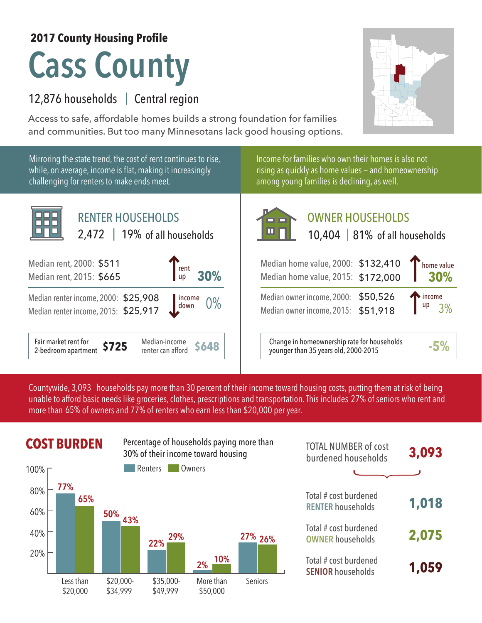## **2017 County Housing Profile**

## **Cass County**

## 12,876 households | Central region

Access to safe, affordable homes builds a strong foundation for families and communities. But too many Minnesotans lack good housing options.



Countywide, 3,093  $\,$  households pay more than 30 percent of their income toward housing costs, putting them at risk of being  $\,$ unable to afford basic needs like groceries, clothes, prescriptions and transportation. This includes 27% of seniors who rent and more than 65% of owners and 77% of renters who earn less than \$20,000 per year.



| <b>TOTAL NUMBER of cost</b><br>burdened households | 3,093 |
|----------------------------------------------------|-------|
|                                                    |       |
| Total # cost burdened<br><b>RENTER</b> households  | 1,018 |
| Total # cost burdened<br><b>OWNER households</b>   | 2,075 |
| Total # cost burdened<br><b>SENIOR households</b>  | 1,059 |